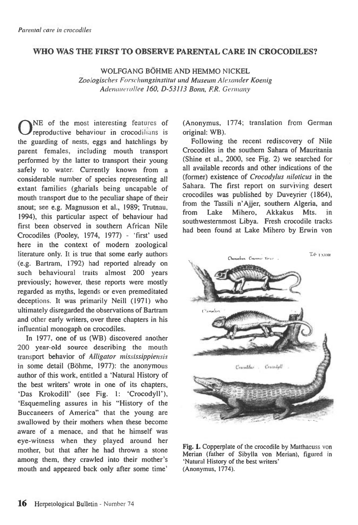## **WHO WAS THE FIRST TO OBSERVE PARENTAL CARE IN CROCODILES?**

WOLFGANG BÖHME AND HEMMO NICKEL Zoologisches Forschungsinstitut und Museum Alexander Koenig Adenauerallee 160, D-53113 Bonn, F.R. Germany

ONE of the most interesting features of reproductive behaviour in crocodilians is reproductive behaviour in crocodilians is the guarding of nests, eggs and hatchlings by parent females, including mouth transport performed by the latter to transport their young safely to water. Currently known from a considerable number of species representing all extant families (gharials being uncapable of mouth transport due to the peculiar shape of their snout; see e.g. Magnusson et al., 1989; Trutnau, 1994), this particular aspect of behaviour had first been observed in southern African Nile Crocodiles (Pooley, 1974, 1977) - 'first' used here in the context of modern zoological literature only. It is true that some early authors (e.g. Bartram, 1792) had reported already on such behavioural traits almost 200 years previously; however, these reports were mostly regarded as myths, legends or even premeditated deceptions. It was primarily Neill (1971) who ultimately disregarded the observations of Bartram and other early writers, over three chapters in his influential monogaph on crocodiles.

In 1977, one of us (WB) discovered another 200 year-old source describing the mouth transport behavior of Alligator mississippiensis in some detail (Bohme, 1977): the anonymous author of this work, entitled a 'Natural History of the best writers' wrote in one of its chapters, 'Das Krokodill' (see Fig. 1: `Crocodyll'), 'Esquemeling assures in his "History of the Buccaneers of America" that the young are swallowed by their mothers when these become aware of a menace, and that he himself was eye-witness when they played around her mother, but that after he had thrown a stone among them, they crawled into their mother's mouth and appeared back only after some time'

(Anonymus, 1774; translation from German original: WB).

Following the recent rediscovery of Nile Crocodiles in the southern Sahara of Mauritania (Shine et al., 2000, see Fig. 2) we searched for all available records and other indications of the (former) existence of Crocodylus niloticus in the Sahara. The first report on surviving desert crocodiles was published by Duveyrier (1864), from the Tassili n'Ajjer, southern Algeria, and from Lake Mihero, Akkakus Mts. in southwesternmost Libya. Fresh crocodile tracks had been found at Lake Mihero by Erwin von



**Fig. 1.** Copperplate of the crocodile by Matthaeuss von Merian (father of Sibylla von Merian), figured in `Natural History of the best writers' (Anonymus, 1774).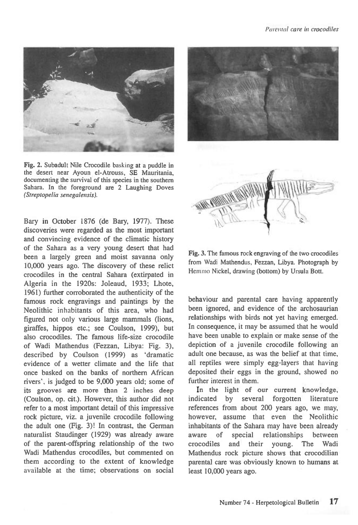

**Fig. 2.** Subadult Nile Crocodile basking at a puddle in the desert near Ayoun el-Atrouss, SE Mauritania, documenting the survival of this species in the southern Sahara. In the foreground are 2 Laughing Doves (Streptopelia senegalensis).

Bary in October 1876 (de Bary, 1977). These discoveries were regarded as the most important and convincing evidence of the climatic history of the Sahara as a very young desert that had been a largely green and moist savanna only 10,000 years ago. The discovery of these relict crocodiles in the central Sahara (extirpated in Algeria in the 1920s: Joleaud, 1933; Lhote, 1961) further corroborated the authenticity of the famous rock engravings and paintings by the Neolithic inhabitants of this area, who had figured not only various large mammals (lions, giraffes, hippos etc.; see Coulson, 1999), but also crocodiles. The famous life-size crocodile of Wadi Mathendus (Fezzan, Libya: Fig. 3), described by Coulson (1999) as 'dramatic evidence of a wetter climate and the life that once basked on the banks of northern African rivers', is judged to be 9,000 years old; some of its grooves are more than 2 inches deep (Coulson, op. cit.). However, this author did not refer to a most important detail of this impressive rock picture, viz. a juvenile crocodile following the adult one (Fig. 3)! In contrast, the German naturalist Staudinger (1929) was already aware of the parent-offspring relationship of the two Wadi Mathendus crocodiles, but commented on them according to the extent of knowledge available at the time; observations on social





**Fig.** 3. The famous rock engraving of the two crocodiles from Wadi Mathendus, Fezzan, Libya. Photograph by Hemmo Nickel, drawing (bottom) by Ursula Bott.

behaviour and parental care having apparently been ignored, and evidence of the archosaurian relationships with birds not yet having emerged. In consequence, it may be assumed that he would have been unable to explain or make sense of the depiction of a juvenile crocodile following an adult one because, as was the belief at that time, all reptiles were simply egg-layers that having deposited their eggs in the ground, showed no further interest in them.

In the light of our current knowledge, indicated by several forgotten literature references from about 200 years ago, we may, however, assume that even the Neolithic inhabitants of the Sahara may have been already aware of special relationships between crocodiles and their young. The Wadi Mathendus rock picture shows that crocodilian parental care was obviously known to humans at least 10,000 years ago.